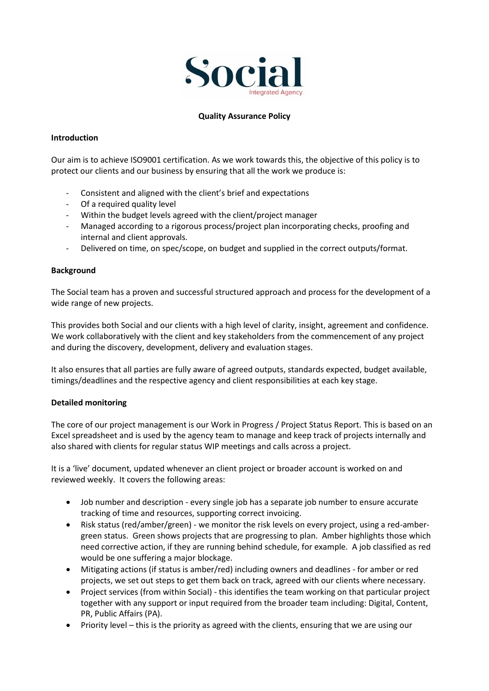

### **Quality Assurance Policy**

### **Introduction**

Our aim is to achieve ISO9001 certification. As we work towards this, the objective of this policy is to protect our clients and our business by ensuring that all the work we produce is:

- Consistent and aligned with the client's brief and expectations
- Of a required quality level
- Within the budget levels agreed with the client/project manager
- Managed according to a rigorous process/project plan incorporating checks, proofing and internal and client approvals.
- Delivered on time, on spec/scope, on budget and supplied in the correct outputs/format.

### **Background**

The Social team has a proven and successful structured approach and process for the development of a wide range of new projects.

This provides both Social and our clients with a high level of clarity, insight, agreement and confidence. We work collaboratively with the client and key stakeholders from the commencement of any project and during the discovery, development, delivery and evaluation stages.

It also ensures that all parties are fully aware of agreed outputs, standards expected, budget available, timings/deadlines and the respective agency and client responsibilities at each key stage.

#### **Detailed monitoring**

The core of our project management is our Work in Progress / Project Status Report. This is based on an Excel spreadsheet and is used by the agency team to manage and keep track of projects internally and also shared with clients for regular status WIP meetings and calls across a project.

It is a 'live' document, updated whenever an client project or broader account is worked on and reviewed weekly. It covers the following areas:

- Job number and description every single job has a separate job number to ensure accurate tracking of time and resources, supporting correct invoicing.
- Risk status (red/amber/green) we monitor the risk levels on every project, using a red-ambergreen status. Green shows projects that are progressing to plan. Amber highlights those which need corrective action, if they are running behind schedule, for example. A job classified as red would be one suffering a major blockage.
- Mitigating actions (if status is amber/red) including owners and deadlines for amber or red projects, we set out steps to get them back on track, agreed with our clients where necessary.
- Project services (from within Social) this identifies the team working on that particular project together with any support or input required from the broader team including: Digital, Content, PR, Public Affairs (PA).
- Priority level this is the priority as agreed with the clients, ensuring that we are using our